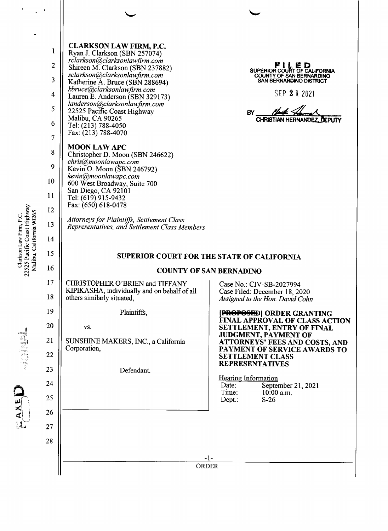| $\pmb{\cdot}$                                           |                                                                                                            |                                                                                                                                                                                                                                                                                                                                                                                                                                                                                                                                                                                                                                                                                                                                                          |                                                                                                                                        |
|---------------------------------------------------------|------------------------------------------------------------------------------------------------------------|----------------------------------------------------------------------------------------------------------------------------------------------------------------------------------------------------------------------------------------------------------------------------------------------------------------------------------------------------------------------------------------------------------------------------------------------------------------------------------------------------------------------------------------------------------------------------------------------------------------------------------------------------------------------------------------------------------------------------------------------------------|----------------------------------------------------------------------------------------------------------------------------------------|
| 22525 Pacific Coast Highway<br>Malibu, California 90265 | 1<br>$\overline{c}$<br>3<br>$\overline{\mathbf{4}}$<br>5<br>6<br>7<br>8<br>9<br>10<br>11<br>12<br>13<br>14 | <b>CLARKSON LAW FIRM, P.C.</b><br>Ryan J. Clarkson (SBN 257074)<br>rclarkson@clarksonlawfirm.com<br>Shireen M. Clarkson (SBN 237882)<br>sclarkson@clarksonlawfirm.com<br>Katherine A. Bruce (SBN 288694)<br>kbruce@clarksonlawfirm.com<br>Lauren E. Anderson (SBN 329173)<br>landerson@clarksonlawfirm.com<br>22525 Pacific Coast Highway<br>Malibu, CA 90265<br>Tel: (213) 788-4050<br>Fax: (213) 788-4070<br><b>MOON LAW APC</b><br>Christopher D. Moon (SBN 246622)<br>chris@moonlawapc.com<br>Kevin O. Moon (SBN 246792)<br>kevin@moonlawapc.com<br>600 West Broadway, Suite 700<br>San Diego, CA 92101<br>Tel: (619) 915-9432<br>Fax: (650) 618-0478<br>Attorneys for Plaintiffs, Settlement Class<br>Representatives, and Settlement Class Members | SUPERIOR COURT OF CALIFORNIA<br><b>COUNTY OF SAN BERNARDINO</b><br>SAN BERNARDINO DISTRICT<br>SEP 21 2021<br>BY<br>CHRISTIAN HERNANDEZ |
| Alarkson LaW                                            | 15<br>16                                                                                                   | <b>SUPERIOR COURT FOR THE STATE OF CALIFORNIA</b><br><b>COUNTY OF SAN BERNADINO</b>                                                                                                                                                                                                                                                                                                                                                                                                                                                                                                                                                                                                                                                                      |                                                                                                                                        |
|                                                         | 17<br>18                                                                                                   | <b>CHRISTOPHER O'BRIEN and TIFFANY</b><br>KIPIKASHA, individually and on behalf of all<br>others similarly situated.                                                                                                                                                                                                                                                                                                                                                                                                                                                                                                                                                                                                                                     | Case No.: CIV-SB-2027994<br>Case Filed: December 18, 2020<br>Assigned to the Hon. David Cohn                                           |
|                                                         | 19                                                                                                         | Plaintiffs,                                                                                                                                                                                                                                                                                                                                                                                                                                                                                                                                                                                                                                                                                                                                              | [PROPOSED] ORDER GRANTING                                                                                                              |
|                                                         | 20                                                                                                         | VS.                                                                                                                                                                                                                                                                                                                                                                                                                                                                                                                                                                                                                                                                                                                                                      | <b>FINAL APPROVAL OF CLASS ACTION</b><br><b>SETTLEMENT, ENTRY OF FINAL</b><br><b>JUDGMENT, PAYMENT OF</b>                              |
| <b>HANGER</b>                                           | 21                                                                                                         | SUNSHINE MAKERS, INC., a California<br>Corporation,                                                                                                                                                                                                                                                                                                                                                                                                                                                                                                                                                                                                                                                                                                      | <b>ATTORNEYS' FEES AND COSTS, AND</b><br>PAYMENT OF SERVICE AWARDS TO                                                                  |
|                                                         | 22<br>23                                                                                                   |                                                                                                                                                                                                                                                                                                                                                                                                                                                                                                                                                                                                                                                                                                                                                          | <b>SETTLEMENT CLASS</b><br><b>REPRESENTATIVES</b>                                                                                      |
|                                                         | 24                                                                                                         | Defendant.                                                                                                                                                                                                                                                                                                                                                                                                                                                                                                                                                                                                                                                                                                                                               | <b>Hearing Information</b>                                                                                                             |
|                                                         | 25                                                                                                         |                                                                                                                                                                                                                                                                                                                                                                                                                                                                                                                                                                                                                                                                                                                                                          | Date:<br>September 21, 2021<br>Time:<br>$10:00$ a.m.<br>$S-26$                                                                         |
|                                                         | 26                                                                                                         |                                                                                                                                                                                                                                                                                                                                                                                                                                                                                                                                                                                                                                                                                                                                                          | Depth:                                                                                                                                 |
|                                                         | 27                                                                                                         |                                                                                                                                                                                                                                                                                                                                                                                                                                                                                                                                                                                                                                                                                                                                                          |                                                                                                                                        |
|                                                         | 28                                                                                                         |                                                                                                                                                                                                                                                                                                                                                                                                                                                                                                                                                                                                                                                                                                                                                          |                                                                                                                                        |
|                                                         |                                                                                                            |                                                                                                                                                                                                                                                                                                                                                                                                                                                                                                                                                                                                                                                                                                                                                          | -1-                                                                                                                                    |
|                                                         |                                                                                                            | <b>ORDER</b>                                                                                                                                                                                                                                                                                                                                                                                                                                                                                                                                                                                                                                                                                                                                             |                                                                                                                                        |

Clarkson Law Firm, P.C. ← چ

EAXED MONE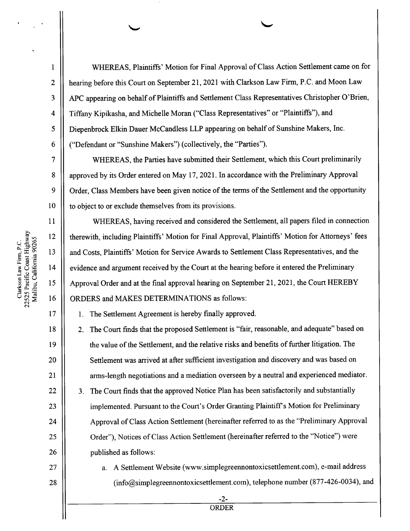WHEREAS, Plaintiffs' Motion for Final Approval of Class Action Settlement came on for hearing before this Court on September 21, 2021 with Clarkson Law Firm, P.C. and Moon Law APC appearing on behalf of Plaintiffs and Settlement Class Representatives Christopher O'Brien, Tiffany Kipikasha, and Michelle Moran ("Class Representatives" or "Plaintiffs"), and Diepenbrock Elkin Dauer McCandless LLP appearing on behalf of Sunshine Makers, Inc. ("Defendant or "Sunshine Makers") (collectively, the "Parties").

WHEREAS, the Parties have submitted their Settlement, which this Court preliminarily approved by its Order entered on May 17, 2021. In accordance with the Preliminary Approval Order, Class Members have been given notice of the tenns of the Settlement and the opportunity to object to or exclude themselves from its provisions.

WHEREAS, having received and considered the Settlement, all papers filed in connection therewith, including Plaintiffs' Motion for Final Approval, Plaintiffs' Motion for Attorneys' fees and Costs, Plaintiffs' Motion for Service Awards to Settlement Class Representatives, and the evidence and argument received by the Court at the hearing before it entered the Preliminary Approval Order and at the final approval hearing on September 21, 2021, the Court HEREBY ORDERS and MAKES DETERMINATIONS as follows:

1. The Settlement Agreement is hereby finally approved.

2. The Court finds that the proposed Settlement is "fair, reasonable, and adequate" based on the value of the Settlement, and the relative risks and benefits of further litigation. The Settlement was arrived at after sufficient investigation and discovery and was based on arms-length negotiations and a mediation overseen by a neutral and experienced mediator.

3. The Court finds that the approved Notice Plan has been satisfactorily and substantially implemented. Pursuant to the Court's Order Granting Plaintiff's Motion for Preliminary Approval of Class Action Settlement (hereinafter referred to as the "Preliminary Approval Order"), Notices of Class Action Settlement (hereinafter referred to the "Notice") were published as follows:

27 28 a. A Settlement Website (www.simplegreennontoxicsettlement.com), e-mail address (info@simp1egreennontoxicsettlement.com), telephone number (877-426—0034), and

Clarkson Law Firm, P.C. - 2 Pacific Coast Highway and the second control in the second control in the second control in the second control in the second control in the second control in the second control in the second control in the second control in the second c  $\overline{\phantom{a}}$ California 90265

10

 $\mathbf{1}$ 

 $\overline{2}$ 

 $\overline{3}$ 

 $\overline{4}$ 

5

6

 $\overline{7}$ 

8

9

11

12

13

14

15

16

17

18

19

20

21

22

23

24

25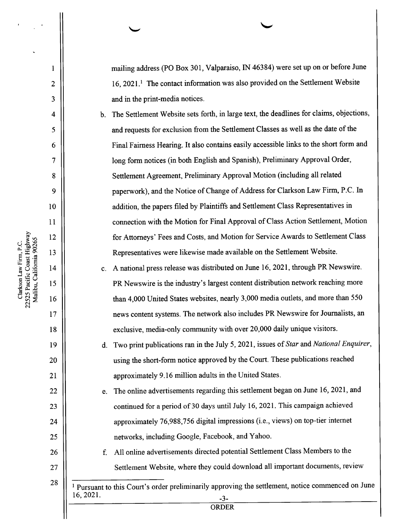mailing address (PO Box 301, Valparaiso, IN 46384) were set up on or before June  $16, 2021$ .<sup>1</sup> The contact information was also provided on the Settlement Website and in the print-media notices.

The Settlement Website sets forth, in large text, the deadlines for claims, objections, and requests for exclusion from the Settlement Classes as well as the date of the Final Fairness Hearing. It also contains easily accessible links to the short form and long form notices (in both English and Spanish), Preliminary Approval Order, Settlement Agreement, Preliminary Approval Motion (including all related paperwork), and the Notice of Change of Address for Clarkson Law Firm, P.C. In addition, the papers filed by Plaintiffs and Settlement Class Representatives in connection with the Motion for Final Approval of Class Action Settlement, Motion for Attorneys' Fees and Costs, and Motion for Service Awards to Settlement Class Representatives were likewise made available on the Settlement Website.

c. A national press release was distributed on June 16, 2021, through PR Newswire. PR Newswire is the industry's largest content distn'bution network reaching more than 4,000 United States websites, nearly 3,000 media outlets, and more than 550 news content systems. The network also includes PR Newswire for Journalists, an exclusive, media-only community with over 20,000 daily unique visitors.

Two print publications ran in the July 5, 2021, issues of Star and National Enquirer, using the short-form notice approved by the Court. These publications reached approximately 9. 16 million adults in the United States.

The online advertisements regarding this settlement began on June 16, 2021, and e. continued for a period of 30 days until July 16, 2021. This campaign achieved approximately  $76,988,756$  digital impressions (i.e., views) on top-tier internet networks, including Google, Facebook, and Yahoo.

All online advertisements directed potential Settlement Class Members t0 the Settlement Website, where they could download all important documents, review

<sup>1</sup> Pursuant to this Court's order preliminarily approving the settlement, notice commenced on June 16, 2021. -3-

**ORDER** 

Malibu, Califomia 90265 Clarkson Law Firm, P.C. Pacific Coast Co Highway

10

 $\mathbf{1}$ 

 $\overline{2}$ 

 $\overline{3}$ 

 $\overline{\mathbf{4}}$ 

5

6

 $\overline{7}$ 

8

 $\overline{9}$ 

11

12

13

14

15

16

17

18

19

20

21

22

23

24

25

26

27

28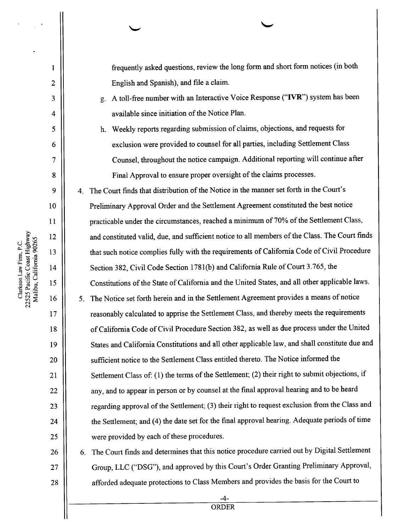frequently asked questions, review the long form and short form notices (in both English and Spanish), and file a claim.

- g. A toll-free number with an Interactive Voice Response ("IVR") system has been available since initiation of the Notice Plan.
- h. Weekly reports regarding submission of claims, objections, and requests for exclusion were provided to counsel for all parties, including Settlement Class Counsel, throughout the notice campaign. Additional reporting will continue after Final Approval to ensure proper oversight of the claims processes.

4. The Court finds that distribution of the Notice in the manner set forth in the Court's Preliminary Approval Order and the Settlement Agreement constituted the best notice practicable under the circumstances, reached a minimum of 70% of the Settlement Class, and constituted valid, due, and sufficient notice to all members of the Class. The Court finds that such notice complies fully with the requirements of California Code of Civil Procedure Section 382, Civil Code Section 1781(b) and California Rule of Court 3.765, the Constitutions of the State of California and the United States, and all other applicable laws. 5. The Notice set forth herein and in the Settlement Agreement provides a means of notice reasonably calculated to apprise the Settlement Class, and thereby meets the requirements of California Code of Civil Procedure Section 382, as well as due process under the United States and California Constitutions and all other applicable law, and shall constitute due and sufficient notice to the Settlement Class entitled thereto. The Notice informed the Settlement Class of: (1) the terms of the Settlement; (2) their right to submit objections, if any, and to appear in person or by counsel at the final approval hearing and to be heard regarding approval of the Settlement; (3) their right to request exclusion from the Class and the Settlement; and (4) the date set for the final approval hearing. Adequate periods of time were provided by each of these procedures.

The Court finds and determines that this notice procedure carried out by Digital Settlement Group, LLC ("DSG"), and approved by this Court's Order Granting Preliminary Approval, afforded adequate protections to Class Members and provides the basis for the Court t0

Clarkson  $\mathcal{L}$ Firm, P.C. Pacific Coast Highway Malibu, Califomia 90265 10

 $\mathbf{l}$ 

 $\overline{2}$ 

3

4

5

6

 $\overline{7}$ 

8

9

11

12

13

14

15

16

17

18

19

20

21

22

23

24

25

26

27

28

- -

-4- ORDER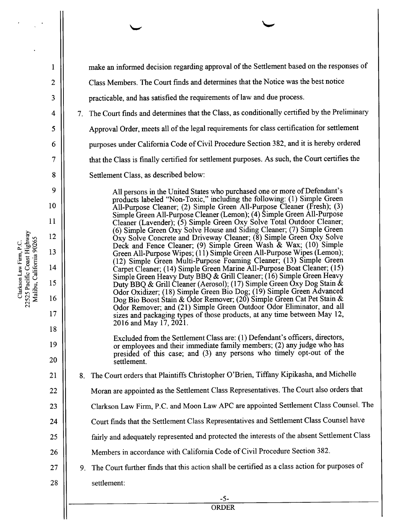make an informed decision regarding approval of the Settlement based on the responses of Class Members. The Court finds and determines that the Notice was the best notice  $\overline{2}$ practicable, and has satisfied the requirements of law and due process. 3 The Court finds and determines that the Class, as conditionally certified by the Preliminary 4 Approval Order, meets all of the legal requirements for class certification for settlement 5 purposes under California Code of Civil Procedure Section 382, and it is hereby ordered 6 that the Class is finally certified for settlement purposes. As such, the Court certifies the \OOOQONUIb 8 Settlement Class, as described below: 9 All persons in the United States who purchased one or more of Defendant's products labeled "Non-Toxic," including the following: (1) Simple Green 10 All-Purpose Cleaner; (2) Simple Green All-Purpose Cleaner (Fresh); (3) Simple Green All-Purpose Cleaner (Lemon); (4) Simple Green All-Purpose 11 Cleaner (Lavender); (5) Simple Green Oxy Solve Total Outdoor Cleaner; (6) Simple Green Oxy Solve House and Siding Cleaner; (7) Simple Green 12  $\hat{O}xy$  Solve Concrete and Driveway Cleaner; (8) Simple Green  $\hat{O}xy$  Solve Deck and Fence Cleaner; (9) Simple Green Wash & Wax; (10) Simple 13 Green All-Purpose Wipes; (11) Simple Green All-Purpose Wipes (Lemon); (12) Simple Green Multi-Purpose Foaming Cleaner; (13) Simple Green 14 Carpet Cleaner; (14) Simple Green Marine All-Purpose Boat Cleaner; (15) Simple Green Heavy Duty BBQ & Grill Cleaner; (16) Simple Green Heavy 15 Duty BBQ & Grill Cleaner (Aerosol); (17) Simple Green Oxy Dog Stain & Odor Oxidizer; (18) Simple Green Bio Dog; (19) Simple Green Advanced 16 Dog Bio Boost Stain & Odor Remover; (20) Simple Green Cat Pet Stain & Odor Remover; and (21) Simple Green Outdoor Odor Eliminator, and all 17 sizes and packaging types of those products, at any time between May 12, 2016 and May 17, 2021. 18 Excluded from the Settlement Class are: (1) Defendant's officers, directors, 19 or employees and their immediate family members; (2) any judge Who has presided of this case; and (3) any persons who timely opt-out 0f the 20 settlement. 8. The Court orders that Plaintiffs Christopher O'Brien, Tiffany Kipikasha, and Michelle 21 Moran are appointed as the Settlement Class Representatives. The Court also orders that 22 Clarkson Law Firm, P.C. and Moon Law APC are appointed Settlement Class Counsel. The 23 Court finds that the Settlement Class Representatives and Settlement Class Counsel have 24 fairly and adequately represented and protected the interests of the absent Settlement Class 25 Members in accordance with California Code 0f Civil Procedure Section 382. 26 The Court further finds that this action shall be certified as class action for purposes of 27 28 settlement: -5-

Clarkson Law Firm, P.C. Pacific Coast Coast  $\mathbf{H}$ Malibu, California 90265

 $\mathbf{1}$ 

- 2

**ORDER**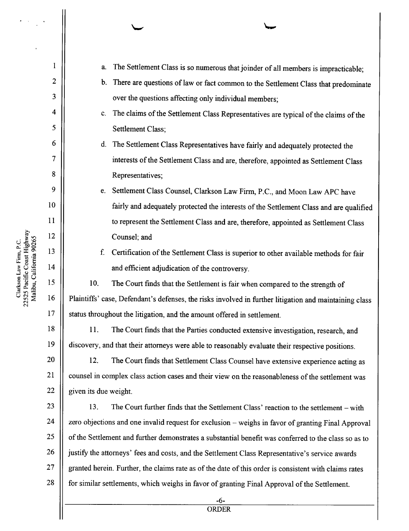$\overline{\phantom{a}}$ Califomia 90265 Clarkson Law  $\blacksquare$ P.C. Pacific Coast  $\mathbf{f}$ 

 $\mathfrak{B}$ 

4

5

 $\mathbf{1}$ 

 $\overline{2}$ 

\OWQONUI

8

9

6

10

11

12

13

14

15

16

17

18

19

20

21

22

23

24

25

26

27

28

- 7

a. The Settlement Class is so numerous that joinder of all members is impracticable; b. There are questions of law or fact common to the Settlement Class that predominate over the questions affecting only individual members; c. The claims of the Settlement Class Representatives are typical of the claims of the Settlement Class; d. The Settlement Class Representatives have fairly and adequately protected the interests of the Settlement Class and are, therefore, appointed as Settlement Class Representatives; e. Settlement Class Counsel, Clarkson Law Firm, P.C., and Moon Law APC have fairly and adequately protected the interests of the Settlement Class and are qualified to represent the Settlement Class and are, therefore, appointed as Settlement Class Counsel; and f. Certification of the Settlement Class is superior to other available methods for fair and efficient adjudication of the controversy. 10. The Court finds that the Settlement is fair when compared to the strength of Plaintiffs' case, Defendant's defenses, the risks involved in further litigation and maintaining class status throughout the litigation, and the amount offered in settlement. 11. The Court finds that the Parties conducted extensive investigation, research, and discovery, and that their attorneys were able to reasonably evaluate their respective positions. 12. The Court finds that Settlement Class Counsel have extensive experience acting as counsel in complex class action cases and their view on the reasonableness of the settlement was given its due weight. 13. The Court further finds that the Settlement Class' reaction to the settlement – with zero objections and one invalid request for exclusion weighs in favor of granting Final Approval of the Settlement and further demonstrates a substantial benefit was conferred to the class so as to justify the attorneys' fees and costs, and the Settlement Class Representative's service awards granted herein. Further, the claims rate as of the date 0f this order is consistent with claims rates for similar settlements, which weighs in favor of granting Final Approval of the Settlement.

-6-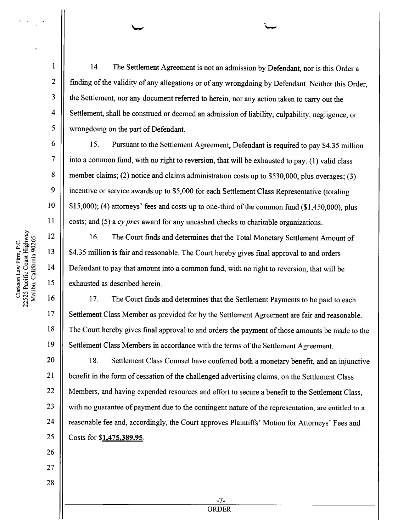14. The Settlement Agreement is not an admission by Defendant, nor is this Order a finding of the validity of any allegations or of any wrongdoing by Defendant. Neither this Order, the Settlement, nor any document referred to herein, nor any action taken to carry out the Settlement, shall be construed or deemed an admission of liability, culpability, negligence, or wrongdoing on the part of Defendant.

15. Pursuant to the Settlement Agreement, Defendant is required to pay \$4.35 million into a common fund, with no right to reversion, that will be exhausted to pay: (1) valid class member claims; (2) notice and claims administration costs up to \$530,000, plus overages; (3) incentive or service awards up to \$5,000 for each Settlement Class Representative (totaling \$15,000); (4) attomeys' fees and costs up to one-third of the common fund (\$1,450,000), plus costs; and  $(5)$  a cy pres award for any uncashed checks to charitable organizations.

16. The Court finds and determines that the Total Monetary Settlement Amount of \$4.35 million is fair and reasonable. The Court hereby gives final approval to and orders Defendant to pay that amount into a common fund, with no right to reversion, that will be exhausted as described herein.

17. The Court finds and determines that the Settlement Payments to be paid to each Settlement Class Member as provided for by the Settlement Agreement are fair and reasonable. The Court hereby gives final approval to and orders the payment of those amounts be made to the Settlement Class Members in accordance with the terms of the Settlement Agreement.

20 21 22 23 24 25 18. Settlement Class Counsel have conferred both a monetary benefit, and an injunctive benefit in the form of cessation of the challenged advertising claims, on the Settlement Class Members, and having expended resources and effort to secure a benefit to the Settlement Class, with no guarantee of payment due to the contingent nature of the representation, are entitled to a reasonable fee and, accordingly, the Court approves Plaintiffs' Motion for Attorneys' Fees and Costs for \$1,475,389.95.

ORDER

-7-

Malibu, California 90265 Clarkson Law 1999 Firm, P.C. - -Pacific Coast Highway

10

 $\mathbf{1}$ 

 $\overline{2}$ 

3

5

6

 $\overline{7}$ 

8

9

11

12

13

14

15

16

17

18

19

26

27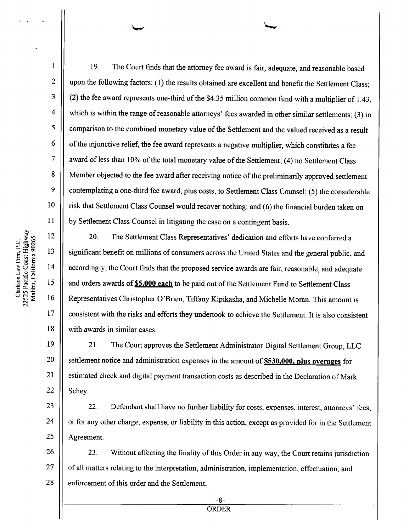19. The Court finds that the attorney fee award is fair, adequate, and reasonable based.  $\overline{2}$ upon the following factors: (1) the results obtained are excellent and benefit the Settlement Class; 3 (2) the fee award represents one-third of the \$4.35 million common fund with a multiplier of 1.43,  $\overline{\mathbf{4}}$ which is within the range of reasonable attorneys' fees awarded in other similar settlements; (3) in 5 comparison to the combined monetary value of the Settlement and the valued received as a result 6 of the injunctive relief, the fee award represents a negative multiplier, which constitutes a fee  $\overline{\phantom{a}}$ award of less than 10% of the total monetary value of the Settlement; (4) no Settlement Class 8 Member objected to the fee award after receiving notice of the preliminarily approved settlement 9 contemplating a one-third fee award, plus costs, to Settlement Class Counsel; (5) the considerable 10 risk that Settlement Class Counsel would recover nothing; and (6) the financial burden taken 0n 11 by Settlement Class Counsel in litigating the case on a contingent basis.

20. The Settlement Class Representatives' dedication and efforts have conferred a significant benefit on millions of consumers across the United States and the general public, and accordingly, the Court finds that the proposed service awards are fair, reasonable, and adequate and orders awards of **\$5,000 each** to be paid out of the Settlement Fund to Settlement Class Representatives Christopher O'Brien, Tiffany Kipikasha, and Michelle Moran. This amount is consistent with the risks and efforts they undertook to achieve the Settlement. It is also consistent with awards in similar cases.

19 20 21 22 21. The Court approves the Settlement Administrator Digital Settlement Group, LLC settlement notice and administration expenses in the amount of \$530,000, plus overages for estimated check and digital payment transaction costs as described in the Declaration of Mark Schey.

23 24 25 22. Defendant shall have no further liability for costs, expenses, interest, attorneys' fees, or for any other charge, expense, or liability in this action, except as provided for in the Settlement Agreement.

26 27 28 23. Without affecting the finality 0f this Order in any way, the Court retains jurisdiction of all matters relating to the interpretation, administration, implementation, effectuation, and enforcement 0f this order and the Settlement.

Clarkson Law Firm, P.C. - 7 Pacific Coast  $\blacksquare$ Malibu, California 90265 12

 $\mathbf{1}$ 

13

14

15

16

17